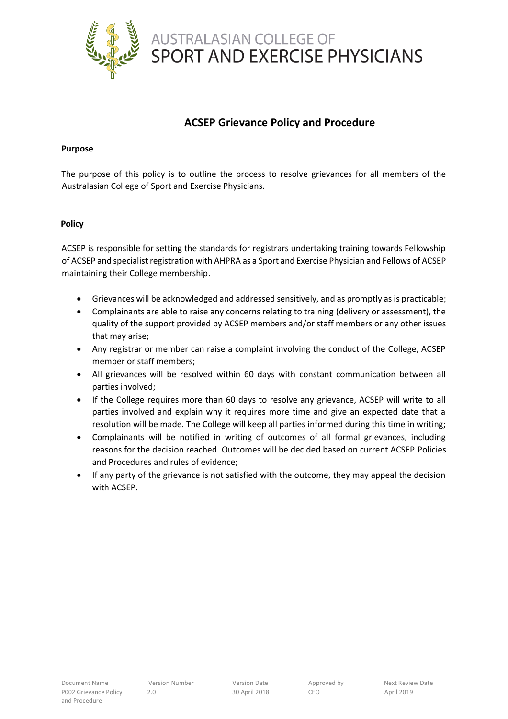

## **ACSEP Grievance Policy and Procedure**

## **Purpose**

The purpose of this policy is to outline the process to resolve grievances for all members of the Australasian College of Sport and Exercise Physicians.

## **Policy**

ACSEP is responsible for setting the standards for registrars undertaking training towards Fellowship of ACSEP and specialist registration with AHPRA as a Sport and Exercise Physician and Fellows of ACSEP maintaining their College membership.

- Grievances will be acknowledged and addressed sensitively, and as promptly as is practicable;
- Complainants are able to raise any concerns relating to training (delivery or assessment), the quality of the support provided by ACSEP members and/or staff members or any other issues that may arise;
- Any registrar or member can raise a complaint involving the conduct of the College, ACSEP member or staff members;
- All grievances will be resolved within 60 days with constant communication between all parties involved;
- If the College requires more than 60 days to resolve any grievance, ACSEP will write to all parties involved and explain why it requires more time and give an expected date that a resolution will be made. The College will keep all parties informed during this time in writing;
- Complainants will be notified in writing of outcomes of all formal grievances, including reasons for the decision reached. Outcomes will be decided based on current ACSEP Policies and Procedures and rules of evidence;
- If any party of the grievance is not satisfied with the outcome, they may appeal the decision with ACSEP.